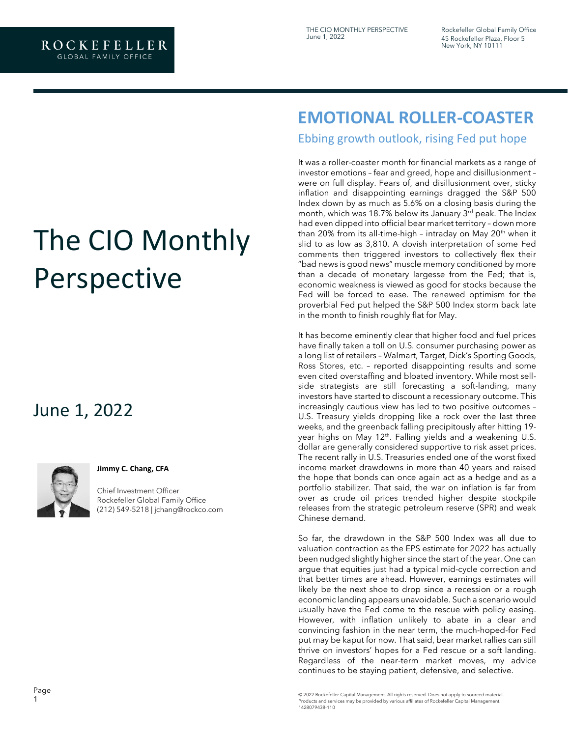Rockefeller Global Family Office 45 Rockefeller Plaza, Floor 5 New York, NY 10111

# The CIO Monthly Perspective

## June 1, 2022



#### **Jimmy C. Chang, CFA**

Chief Investment Officer Rockefeller Global Family Office [\(212\) 549-5218 | jchang@rockco.com](mailto:jchang@rockco.com)

## **EMOTIONAL ROLLER-COASTER**

Ebbing growth outlook, rising Fed put hope

It was a roller-coaster month for financial markets as a range of investor emotions – fear and greed, hope and disillusionment – were on full display. Fears of, and disillusionment over, sticky inflation and disappointing earnings dragged the S&P 500 Index down by as much as 5.6% on a closing basis during the month, which was 18.7% below its January  $3<sup>rd</sup>$  peak. The Index had even dipped into official bear market territory – down more than 20% from its all-time-high - intraday on May 20<sup>th</sup> when it slid to as low as 3,810. A dovish interpretation of some Fed comments then triggered investors to collectively flex their "bad news is good news" muscle memory conditioned by more than a decade of monetary largesse from the Fed; that is, economic weakness is viewed as good for stocks because the Fed will be forced to ease. The renewed optimism for the proverbial Fed put helped the S&P 500 Index storm back late in the month to finish roughly flat for May.

It has become eminently clear that higher food and fuel prices have finally taken a toll on U.S. consumer purchasing power as a long list of retailers – Walmart, Target, Dick's Sporting Goods, Ross Stores, etc. – reported disappointing results and some even cited overstaffing and bloated inventory. While most sellside strategists are still forecasting a soft-landing, many investors have started to discount a recessionary outcome. This increasingly cautious view has led to two positive outcomes – U.S. Treasury yields dropping like a rock over the last three weeks, and the greenback falling precipitously after hitting 19 year highs on May 12<sup>th</sup>. Falling yields and a weakening U.S. dollar are generally considered supportive to risk asset prices. The recent rally in U.S. Treasuries ended one of the worst fixed income market drawdowns in more than 40 years and raised the hope that bonds can once again act as a hedge and as a portfolio stabilizer. That said, the war on inflation is far from over as crude oil prices trended higher despite stockpile releases from the strategic petroleum reserve (SPR) and weak Chinese demand.

So far, the drawdown in the S&P 500 Index was all due to valuation contraction as the EPS estimate for 2022 has actually been nudged slightly higher since the start of the year. One can argue that equities just had a typical mid-cycle correction and that better times are ahead. However, earnings estimates will likely be the next shoe to drop since a recession or a rough economic landing appears unavoidable. Such a scenario would usually have the Fed come to the rescue with policy easing. However, with inflation unlikely to abate in a clear and convincing fashion in the near term, the much-hoped-for Fed put may be kaput for now. That said, bear market rallies can still thrive on investors' hopes for a Fed rescue or a soft landing. Regardless of the near-term market moves, my advice continues to be staying patient, defensive, and selective.

© 2022 Rockefeller Capital Management. All rights reserved. Does not apply to sourced material. Products and services may be provided by various affiliates of Rockefeller Capital Management. 1428079438-110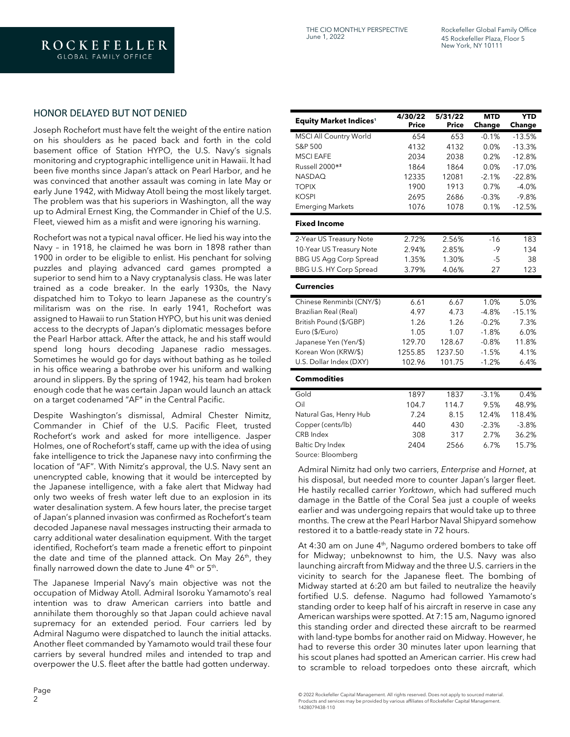Rockefeller Global Family Office 45 Rockefeller Plaza, Floor 5 New York, NY 10111

#### HONOR DELAYED BUT NOT DENIED

Joseph Rochefort must have felt the weight of the entire nation on his shoulders as he paced back and forth in the cold basement office of Station HYPO, the U.S. Navy's signals monitoring and cryptographic intelligence unit in Hawaii. It had been five months since Japan's attack on Pearl Harbor, and he was convinced that another assault was coming in late May or early June 1942, with Midway Atoll being the most likely target. The problem was that his superiors in Washington, all the way up to Admiral Ernest King, the Commander in Chief of the U.S. Fleet, viewed him as a misfit and were ignoring his warning.

Rochefort was not a typical naval officer. He lied his way into the Navy – in 1918, he claimed he was born in 1898 rather than 1900 in order to be eligible to enlist. His penchant for solving puzzles and playing advanced card games prompted a superior to send him to a Navy cryptanalysis class. He was later trained as a code breaker. In the early 1930s, the Navy dispatched him to Tokyo to learn Japanese as the country's militarism was on the rise. In early 1941, Rochefort was assigned to Hawaii to run Station HYPO, but his unit was denied access to the decrypts of Japan's diplomatic messages before the Pearl Harbor attack. After the attack, he and his staff would spend long hours decoding Japanese radio messages. Sometimes he would go for days without bathing as he toiled in his office wearing a bathrobe over his uniform and walking around in slippers. By the spring of 1942, his team had broken enough code that he was certain Japan would launch an attack on a target codenamed "AF" in the Central Pacific.

Despite Washington's dismissal, Admiral Chester Nimitz, Commander in Chief of the U.S. Pacific Fleet, trusted Rochefort's work and asked for more intelligence. Jasper Holmes, one of Rochefort's staff, came up with the idea of using fake intelligence to trick the Japanese navy into confirming the location of "AF". With Nimitz's approval, the U.S. Navy sent an unencrypted cable, knowing that it would be intercepted by the Japanese intelligence, with a fake alert that Midway had only two weeks of fresh water left due to an explosion in its water desalination system. A few hours later, the precise target of Japan's planned invasion was confirmed as Rochefort's team decoded Japanese naval messages instructing their armada to carry additional water desalination equipment. With the target identified, Rochefort's team made a frenetic effort to pinpoint the date and time of the planned attack. On May 26<sup>th</sup>, they finally narrowed down the date to June  $4^{\text{th}}$  or  $5^{\text{th}}$ .

The Japanese Imperial Navy's main objective was not the occupation of Midway Atoll. Admiral Isoroku Yamamoto's real intention was to draw American carriers into battle and annihilate them thoroughly so that Japan could achieve naval supremacy for an extended period. Four carriers led by Admiral Nagumo were dispatched to launch the initial attacks. Another fleet commanded by Yamamoto would trail these four carriers by several hundred miles and intended to trap and overpower the U.S. fleet after the battle had gotten underway.

| <b>Equity Market Indices<sup>1</sup></b> | 4/30/22<br><b>Price</b> | 5/31/22<br><b>Price</b> | <b>MTD</b><br>Change | <b>YTD</b><br><b>Change</b> |
|------------------------------------------|-------------------------|-------------------------|----------------------|-----------------------------|
| <b>MSCI All Country World</b>            | 654                     | 653                     | $-0.1%$              | $-13.5%$                    |
| S&P 500                                  | 4132                    | 4132                    | 0.0%                 | $-13.3%$                    |
| <b>MSCI EAFE</b>                         | 2034                    | 2038                    | 0.2%                 | $-12.8%$                    |
| Russell 2000 <sup>®2</sup>               | 1864                    | 1864                    | 0.0%                 | $-17.0%$                    |
| <b>NASDAQ</b>                            | 12335                   | 12081                   | $-2.1%$              | $-22.8%$                    |
| <b>TOPIX</b>                             | 1900                    | 1913                    | 0.7%                 | $-4.0%$                     |
| <b>KOSPI</b>                             | 2695                    | 2686                    | $-0.3%$              | $-9.8%$                     |
| <b>Emerging Markets</b>                  | 1076                    | 1078                    | 0.1%                 | $-12.5%$                    |
| <b>Fixed Income</b>                      |                         |                         |                      |                             |
| 2-Year US Treasury Note                  | 2.72%                   | 2.56%                   | $-16$                | 183                         |
| 10-Year US Treasury Note                 | 2.94%                   | 2.85%                   | $-9$                 | 134                         |
| <b>BBG US Agg Corp Spread</b>            | 1.35%                   | 1.30%                   | $-5$                 | 38                          |
| BBG U.S. HY Corp Spread                  | 3.79%                   | 4.06%                   | 27                   | 123                         |
| <b>Currencies</b>                        |                         |                         |                      |                             |
| Chinese Renminbi (CNY/\$)                | 6.61                    | 6.67                    | 1.0%                 | 5.0%                        |
| Brazilian Real (Real)                    | 4.97                    | 4.73                    | $-4.8%$              | $-15.1%$                    |
| British Pound (\$/GBP)                   | 1.26                    | 1.26                    | $-0.2%$              | 7.3%                        |
| Euro (\$/Euro)                           | 1.05                    | 1.07                    | $-1.8%$              | 6.0%                        |
| Japanese Yen (Yen/\$)                    | 129.70                  | 128.67                  | $-0.8%$              | 11.8%                       |
| Korean Won (KRW/\$)                      | 1255.85                 | 1237.50                 | $-1.5%$              | 4.1%                        |
| U.S. Dollar Index (DXY)                  | 102.96                  | 101.75                  | $-1.2%$              | 6.4%                        |
| <b>Commodities</b>                       |                         |                         |                      |                             |
| Gold                                     | 1897                    | 1837                    | $-3.1%$              | 0.4%                        |
| Oil                                      | 104.7                   | 114.7                   | 9.5%                 | 48.9%                       |
| Natural Gas, Henry Hub                   | 7.24                    | 8.15                    | 12.4%                | 118.4%                      |
| Copper (cents/lb)                        | 440                     | 430                     | $-2.3%$              | $-3.8%$                     |
| <b>CRB</b> Index                         | 308                     | 317                     | 2.7%                 | 36.2%                       |
| <b>Baltic Dry Index</b>                  | 2404                    | 2566                    | 6.7%                 | 15.7%                       |
| Source: Bloomberg                        |                         |                         |                      |                             |

Admiral Nimitz had only two carriers, *Enterprise* and *Hornet*, at his disposal, but needed more to counter Japan's larger fleet. He hastily recalled carrier *Yorktown*, which had suffered much damage in the Battle of the Coral Sea just a couple of weeks earlier and was undergoing repairs that would take up to three months. The crew at the Pearl Harbor Naval Shipyard somehow restored it to a battle-ready state in 72 hours.

At 4:30 am on June  $4<sup>th</sup>$ , Nagumo ordered bombers to take off for Midway; unbeknownst to him, the U.S. Navy was also launching aircraft from Midway and the three U.S. carriers in the vicinity to search for the Japanese fleet. The bombing of Midway started at 6:20 am but failed to neutralize the heavily fortified U.S. defense. Nagumo had followed Yamamoto's standing order to keep half of his aircraft in reserve in case any American warships were spotted. At 7:15 am, Nagumo ignored this standing order and directed these aircraft to be rearmed with land-type bombs for another raid on Midway. However, he had to reverse this order 30 minutes later upon learning that his scout planes had spotted an American carrier. His crew had to scramble to reload torpedoes onto these aircraft, which

© 2022 Rockefeller Capital Management. All rights reserved. Does not apply to sourced material. Products and services may be provided by various affiliates of Rockefeller Capital Management. 1428079438-110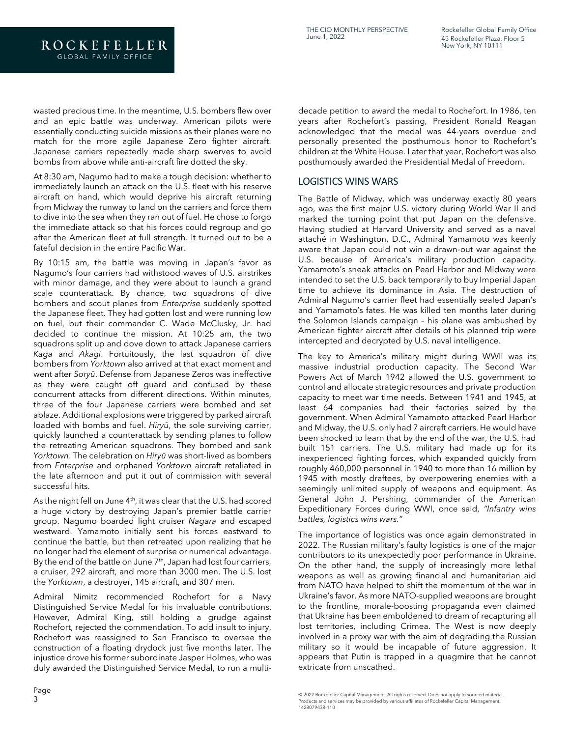wasted precious time. In the meantime, U.S. bombers flew over and an epic battle was underway. American pilots were essentially conducting suicide missions as their planes were no match for the more agile Japanese Zero fighter aircraft. Japanese carriers repeatedly made sharp swerves to avoid bombs from above while anti-aircraft fire dotted the sky.

ROCKEFELLER

At 8:30 am, Nagumo had to make a tough decision: whether to immediately launch an attack on the U.S. fleet with his reserve aircraft on hand, which would deprive his aircraft returning from Midway the runway to land on the carriers and force them to dive into the sea when they ran out of fuel. He chose to forgo the immediate attack so that his forces could regroup and go after the American fleet at full strength. It turned out to be a fateful decision in the entire Pacific War.

By 10:15 am, the battle was moving in Japan's favor as Nagumo's four carriers had withstood waves of U.S. airstrikes with minor damage, and they were about to launch a grand scale counterattack. By chance, two squadrons of dive bombers and scout planes from *Enterprise* suddenly spotted the Japanese fleet. They had gotten lost and were running low on fuel, but their commander C. Wade McClusky, Jr. had decided to continue the mission. At 10:25 am, the two squadrons split up and dove down to attack Japanese carriers *Kaga* and *Akagi*. Fortuitously, the last squadron of dive bombers from *Yorktown* also arrived at that exact moment and went after *Soryū*. Defense from Japanese Zeros was ineffective as they were caught off guard and confused by these concurrent attacks from different directions. Within minutes, three of the four Japanese carriers were bombed and set ablaze. Additional explosions were triggered by parked aircraft loaded with bombs and fuel. *Hiryū*, the sole surviving carrier, quickly launched a counterattack by sending planes to follow the retreating American squadrons. They bombed and sank *Yorktown*. The celebration on *Hiryū* was short-lived as bombers from *Enterprise* and orphaned *Yorktown* aircraft retaliated in the late afternoon and put it out of commission with several successful hits.

As the night fell on June  $4<sup>th</sup>$ , it was clear that the U.S. had scored a huge victory by destroying Japan's premier battle carrier group. Nagumo boarded light cruiser *Nagara* and escaped westward. Yamamoto initially sent his forces eastward to continue the battle, but then retreated upon realizing that he no longer had the element of surprise or numerical advantage. By the end of the battle on June  $7<sup>th</sup>$ , Japan had lost four carriers, a cruiser, 292 aircraft, and more than 3000 men. The U.S. lost the *Yorktown*, a destroyer, 145 aircraft, and 307 men.

Admiral Nimitz recommended Rochefort for a Navy Distinguished Service Medal for his invaluable contributions. However, Admiral King, still holding a grudge against Rochefort, rejected the commendation. To add insult to injury, Rochefort was reassigned to San Francisco to oversee the construction of a floating drydock just five months later. The injustice drove his former subordinate Jasper Holmes, who was duly awarded the Distinguished Service Medal, to run a multidecade petition to award the medal to Rochefort. In 1986, ten years after Rochefort's passing, President Ronald Reagan acknowledged that the medal was 44-years overdue and personally presented the posthumous honor to Rochefort's children at the White House. Later that year, Rochefort was also posthumously awarded the Presidential Medal of Freedom.

#### LOGISTICS WINS WARS

The Battle of Midway, which was underway exactly 80 years ago, was the first major U.S. victory during World War II and marked the turning point that put Japan on the defensive. Having studied at Harvard University and served as a naval attaché in Washington, D.C., Admiral Yamamoto was keenly aware that Japan could not win a drawn-out war against the U.S. because of America's military production capacity. Yamamoto's sneak attacks on Pearl Harbor and Midway were intended to set the U.S. back temporarily to buy Imperial Japan time to achieve its dominance in Asia. The destruction of Admiral Nagumo's carrier fleet had essentially sealed Japan's and Yamamoto's fates. He was killed ten months later during the Solomon Islands campaign – his plane was ambushed by American fighter aircraft after details of his planned trip were intercepted and decrypted by U.S. naval intelligence.

The key to America's military might during WWII was its massive industrial production capacity. The Second War Powers Act of March 1942 allowed the U.S. government to control and allocate strategic resources and private production capacity to meet war time needs. Between 1941 and 1945, at least 64 companies had their factories seized by the government. When Admiral Yamamoto attacked Pearl Harbor and Midway, the U.S. only had 7 aircraft carriers. He would have been shocked to learn that by the end of the war, the U.S. had built 151 carriers. The U.S. military had made up for its inexperienced fighting forces, which expanded quickly from roughly 460,000 personnel in 1940 to more than 16 million by 1945 with mostly draftees, by overpowering enemies with a seemingly unlimited supply of weapons and equipment. As General John J. Pershing, commander of the American Expeditionary Forces during WWI, once said, *"Infantry wins battles, logistics wins wars."*

The importance of logistics was once again demonstrated in 2022. The Russian military's faulty logistics is one of the major contributors to its unexpectedly poor performance in Ukraine. On the other hand, the supply of increasingly more lethal weapons as well as growing financial and humanitarian aid from NATO have helped to shift the momentum of the war in Ukraine's favor. As more NATO-supplied weapons are brought to the frontline, morale-boosting propaganda even claimed that Ukraine has been emboldened to dream of recapturing all lost territories, including Crimea. The West is now deeply involved in a proxy war with the aim of degrading the Russian military so it would be incapable of future aggression. It appears that Putin is trapped in a quagmire that he cannot extricate from unscathed.

<sup>© 2022</sup> Rockefeller Capital Management. All rights reserved. Does not apply to sourced material. Products and services may be provided by various affiliates of Rockefeller Capital Management. 1428079438-110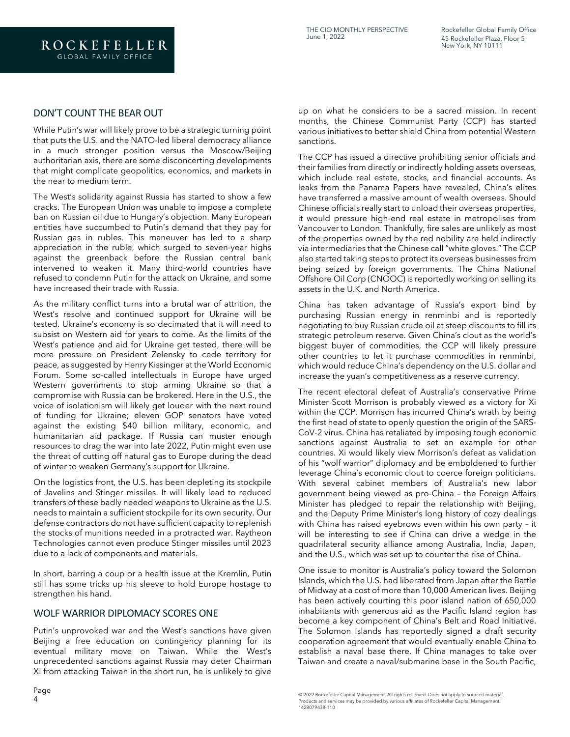#### DON'T COUNT THE BEAR OUT

While Putin's war will likely prove to be a strategic turning point that puts the U.S. and the NATO-led liberal democracy alliance in a much stronger position versus the Moscow/Beijing authoritarian axis, there are some disconcerting developments that might complicate geopolitics, economics, and markets in the near to medium term.

The West's solidarity against Russia has started to show a few cracks. The European Union was unable to impose a complete ban on Russian oil due to Hungary's objection. Many European entities have succumbed to Putin's demand that they pay for Russian gas in rubles. This maneuver has led to a sharp appreciation in the ruble, which surged to seven-year highs against the greenback before the Russian central bank intervened to weaken it. Many third-world countries have refused to condemn Putin for the attack on Ukraine, and some have increased their trade with Russia.

As the military conflict turns into a brutal war of attrition, the West's resolve and continued support for Ukraine will be tested. Ukraine's economy is so decimated that it will need to subsist on Western aid for years to come. As the limits of the West's patience and aid for Ukraine get tested, there will be more pressure on President Zelensky to cede territory for peace, as suggested by Henry Kissinger at the World Economic Forum. Some so-called intellectuals in Europe have urged Western governments to stop arming Ukraine so that a compromise with Russia can be brokered. Here in the U.S., the voice of isolationism will likely get louder with the next round of funding for Ukraine; eleven GOP senators have voted against the existing \$40 billion military, economic, and humanitarian aid package. If Russia can muster enough resources to drag the war into late 2022, Putin might even use the threat of cutting off natural gas to Europe during the dead of winter to weaken Germany's support for Ukraine.

On the logistics front, the U.S. has been depleting its stockpile of Javelins and Stinger missiles. It will likely lead to reduced transfers of these badly needed weapons to Ukraine as the U.S. needs to maintain a sufficient stockpile for its own security. Our defense contractors do not have sufficient capacity to replenish the stocks of munitions needed in a protracted war. Raytheon Technologies cannot even produce Stinger missiles until 2023 due to a lack of components and materials.

In short, barring a coup or a health issue at the Kremlin, Putin still has some tricks up his sleeve to hold Europe hostage to strengthen his hand.

### WOLF WARRIOR DIPLOMACY SCORES ONE

Putin's unprovoked war and the West's sanctions have given Beijing a free education on contingency planning for its eventual military move on Taiwan. While the West's unprecedented sanctions against Russia may deter Chairman Xi from attacking Taiwan in the short run, he is unlikely to give

up on what he considers to be a sacred mission. In recent months, the Chinese Communist Party (CCP) has started various initiatives to better shield China from potential Western sanctions.

The CCP has issued a directive prohibiting senior officials and their families from directly or indirectly holding assets overseas, which include real estate, stocks, and financial accounts. As leaks from the Panama Papers have revealed, China's elites have transferred a massive amount of wealth overseas. Should Chinese officials really start to unload their overseas properties, it would pressure high-end real estate in metropolises from Vancouver to London. Thankfully, fire sales are unlikely as most of the properties owned by the red nobility are held indirectly via intermediaries that the Chinese call "white gloves." The CCP also started taking steps to protect its overseas businesses from being seized by foreign governments. The China National Offshore Oil Corp (CNOOC) is reportedly working on selling its assets in the U.K. and North America.

China has taken advantage of Russia's export bind by purchasing Russian energy in renminbi and is reportedly negotiating to buy Russian crude oil at steep discounts to fill its strategic petroleum reserve. Given China's clout as the world's biggest buyer of commodities, the CCP will likely pressure other countries to let it purchase commodities in renminbi, which would reduce China's dependency on the U.S. dollar and increase the yuan's competitiveness as a reserve currency.

The recent electoral defeat of Australia's conservative Prime Minister Scott Morrison is probably viewed as a victory for Xi within the CCP. Morrison has incurred China's wrath by being the first head of state to openly question the origin of the SARS-CoV-2 virus. China has retaliated by imposing tough economic sanctions against Australia to set an example for other countries. Xi would likely view Morrison's defeat as validation of his "wolf warrior" diplomacy and be emboldened to further leverage China's economic clout to coerce foreign politicians. With several cabinet members of Australia's new labor government being viewed as pro-China – the Foreign Affairs Minister has pledged to repair the relationship with Beijing, and the Deputy Prime Minister's long history of cozy dealings with China has raised eyebrows even within his own party – it will be interesting to see if China can drive a wedge in the quadrilateral security alliance among Australia, India, Japan, and the U.S., which was set up to counter the rise of China.

One issue to monitor is Australia's policy toward the Solomon Islands, which the U.S. had liberated from Japan after the Battle of Midway at a cost of more than 10,000 American lives. Beijing has been actively courting this poor island nation of 650,000 inhabitants with generous aid as the Pacific Island region has become a key component of China's Belt and Road Initiative. The Solomon Islands has reportedly signed a draft security cooperation agreement that would eventually enable China to establish a naval base there. If China manages to take over Taiwan and create a naval/submarine base in the South Pacific,

<sup>© 2022</sup> Rockefeller Capital Management. All rights reserved. Does not apply to sourced material. Products and services may be provided by various affiliates of Rockefeller Capital Management. 1428079438-110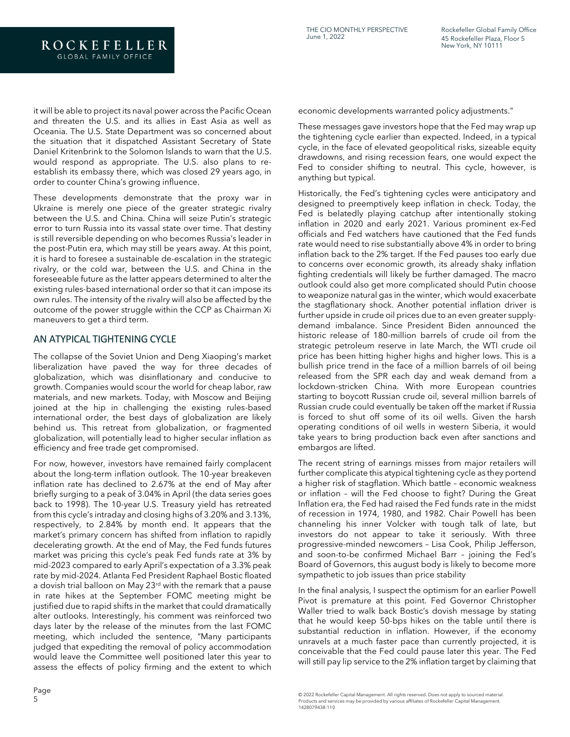it will be able to project its naval power across the Pacific Ocean and threaten the U.S. and its allies in East Asia as well as Oceania. The U.S. State Department was so concerned about the situation that it dispatched Assistant Secretary of State Daniel Kritenbrink to the Solomon Islands to warn that the U.S. would respond as appropriate. The U.S. also plans to reestablish its embassy there, which was closed 29 years ago, in order to counter China's growing influence.

These developments demonstrate that the proxy war in Ukraine is merely one piece of the greater strategic rivalry between the U.S. and China. China will seize Putin's strategic error to turn Russia into its vassal state over time. That destiny is still reversible depending on who becomes Russia's leader in the post-Putin era, which may still be years away. At this point, it is hard to foresee a sustainable de-escalation in the strategic rivalry, or the cold war, between the U.S. and China in the foreseeable future as the latter appears determined to alter the existing rules-based international order so that it can impose its own rules. The intensity of the rivalry will also be affected by the outcome of the power struggle within the CCP as Chairman Xi maneuvers to get a third term.

#### AN ATYPICAL TIGHTENING CYCLE

The collapse of the Soviet Union and Deng Xiaoping's market liberalization have paved the way for three decades of globalization, which was disinflationary and conducive to growth. Companies would scour the world for cheap labor, raw materials, and new markets. Today, with Moscow and Beijing joined at the hip in challenging the existing rules-based international order, the best days of globalization are likely behind us. This retreat from globalization, or fragmented globalization, will potentially lead to higher secular inflation as efficiency and free trade get compromised.

For now, however, investors have remained fairly complacent about the long-term inflation outlook. The 10-year breakeven inflation rate has declined to 2.67% at the end of May after briefly surging to a peak of 3.04% in April (the data series goes back to 1998). The 10-year U.S. Treasury yield has retreated from this cycle's intraday and closing highs of 3.20% and 3.13%, respectively, to 2.84% by month end. It appears that the market's primary concern has shifted from inflation to rapidly decelerating growth. At the end of May, the Fed funds futures market was pricing this cycle's peak Fed funds rate at 3% by mid-2023 compared to early April's expectation of a 3.3% peak rate by mid-2024. Atlanta Fed President Raphael Bostic floated a dovish trial balloon on May 23<sup>rd</sup> with the remark that a pause in rate hikes at the September FOMC meeting might be justified due to rapid shifts in the market that could dramatically alter outlooks. Interestingly, his comment was reinforced two days later by the release of the minutes from the last FOMC meeting, which included the sentence, "Many participants judged that expediting the removal of policy accommodation would leave the Committee well positioned later this year to assess the effects of policy firming and the extent to which

economic developments warranted policy adjustments."

These messages gave investors hope that the Fed may wrap up the tightening cycle earlier than expected. Indeed, in a typical cycle, in the face of elevated geopolitical risks, sizeable equity drawdowns, and rising recession fears, one would expect the Fed to consider shifting to neutral. This cycle, however, is anything but typical.

Historically, the Fed's tightening cycles were anticipatory and designed to preemptively keep inflation in check. Today, the Fed is belatedly playing catchup after intentionally stoking inflation in 2020 and early 2021. Various prominent ex-Fed officials and Fed watchers have cautioned that the Fed funds rate would need to rise substantially above 4% in order to bring inflation back to the 2% target. If the Fed pauses too early due to concerns over economic growth, its already shaky inflation fighting credentials will likely be further damaged. The macro outlook could also get more complicated should Putin choose to weaponize natural gas in the winter, which would exacerbate the stagflationary shock. Another potential inflation driver is further upside in crude oil prices due to an even greater supplydemand imbalance. Since President Biden announced the historic release of 180-million barrels of crude oil from the strategic petroleum reserve in late March, the WTI crude oil price has been hitting higher highs and higher lows. This is a bullish price trend in the face of a million barrels of oil being released from the SPR each day and weak demand from a lockdown-stricken China. With more European countries starting to boycott Russian crude oil, several million barrels of Russian crude could eventually be taken off the market if Russia is forced to shut off some of its oil wells. Given the harsh operating conditions of oil wells in western Siberia, it would take years to bring production back even after sanctions and embargos are lifted.

The recent string of earnings misses from major retailers will further complicate this atypical tightening cycle as they portend a higher risk of stagflation. Which battle – economic weakness or inflation – will the Fed choose to fight? During the Great Inflation era, the Fed had raised the Fed funds rate in the midst of recession in 1974, 1980, and 1982. Chair Powell has been channeling his inner Volcker with tough talk of late, but investors do not appear to take it seriously. With three progressive-minded newcomers – Lisa Cook, Philip Jefferson, and soon-to-be confirmed Michael Barr – joining the Fed's Board of Governors, this august body is likely to become more sympathetic to job issues than price stability

In the final analysis, I suspect the optimism for an earlier Powell Pivot is premature at this point. Fed Governor Christopher Waller tried to walk back Bostic's dovish message by stating that he would keep 50-bps hikes on the table until there is substantial reduction in inflation. However, if the economy unravels at a much faster pace than currently projected, it is conceivable that the Fed could pause later this year. The Fed will still pay lip service to the 2% inflation target by claiming that